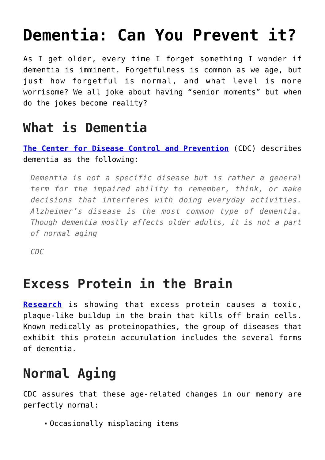# **[Dementia: Can You Prevent it?](https://loreeebee.ca/2022/06/06/dementia-can-you-prevent-it/)**

As I get older, every time I forget something I wonder if dementia is imminent. Forgetfulness is common as we age, but just how forgetful is normal, and what level is more worrisome? We all joke about having "senior moments" but when do the jokes become reality?

### **What is Dementia**

**[The Center for Disease Control and Prevention](https://www.cdc.gov/aging/dementia/index.html#:~:text=Dementia%20is%20not%20a%20specific,a%20part%20of%20normal%20aging.)** (CDC) describes dementia as the following:

*Dementia is not a specific disease but is rather a general term for the impaired ability to remember, think, or make decisions that interferes with doing everyday activities. Alzheimer's disease is the most common type of dementia. Though dementia mostly affects older adults, it is not a part of normal aging*

*CDC*

#### **Excess Protein in the Brain**

**[Research](https://www.uclahealth.org/neurology/a-backlog-of-brain-crud-cleaning-out-the-bad-proteins-in-dementia#:~:text=In%20Alzheimer)** is showing that excess protein causes a toxic, plaque-like buildup in the brain that kills off brain cells. Known medically as proteinopathies, the group of diseases that exhibit this protein accumulation includes the several forms of dementia.

## **Normal Aging**

CDC assures that these age-related changes in our memory are perfectly normal:

Occasionally misplacing items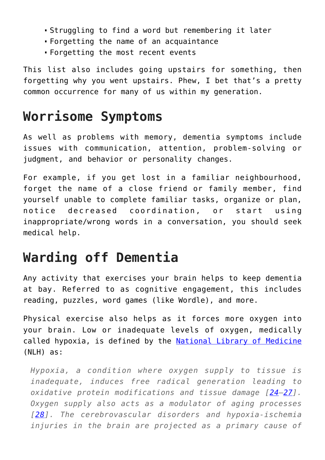- Struggling to find a word but remembering it later
- Forgetting the name of an acquaintance
- Forgetting the most recent events

This list also includes going upstairs for something, then forgetting why you went upstairs. Phew, I bet that's a pretty common occurrence for many of us within my generation.

### **Worrisome Symptoms**

As well as problems with memory, dementia symptoms include issues with communication, attention, problem-solving or judgment, and behavior or personality changes.

For example, if you get lost in a familiar neighbourhood, forget the name of a close friend or family member, find yourself unable to complete familiar tasks, organize or plan, notice decreased coordination, or start using inappropriate/wrong words in a conversation, you should seek medical help.

### **Warding off Dementia**

Any activity that exercises your brain helps to keep dementia at bay. Referred to as cognitive engagement, this includes reading, puzzles, word games (like Wordle), and more.

Physical exercise also helps as it forces more oxygen into your brain. Low or inadequate levels of oxygen, medically called hypoxia, is defined by the [National Library of Medicine](https://www.ncbi.nlm.nih.gov/pmc/articles/PMC7069466/) (NLH) as:

*Hypoxia, a condition where oxygen supply to tissue is inadequate, induces free radical generation leading to oxidative protein modifications and tissue damage [[24–](https://www.ncbi.nlm.nih.gov/pmc/articles/PMC7069466/#b24-ad-11-2-341)[27](https://www.ncbi.nlm.nih.gov/pmc/articles/PMC7069466/#b27-ad-11-2-341)]. Oxygen supply also acts as a modulator of aging processes [[28\]](https://www.ncbi.nlm.nih.gov/pmc/articles/PMC7069466/#b28-ad-11-2-341). The cerebrovascular disorders and hypoxia-ischemia injuries in the brain are projected as a primary cause of*